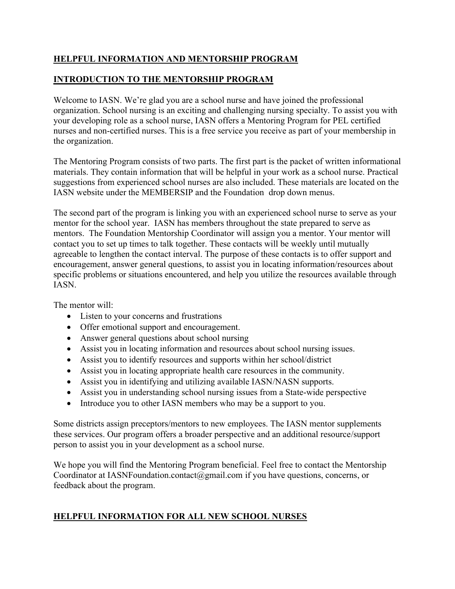## **HELPFUL INFORMATION AND MENTORSHIP PROGRAM**

## **INTRODUCTION TO THE MENTORSHIP PROGRAM**

Welcome to IASN. We're glad you are a school nurse and have joined the professional organization. School nursing is an exciting and challenging nursing specialty. To assist you with your developing role as a school nurse, IASN offers a Mentoring Program for PEL certified nurses and non-certified nurses. This is a free service you receive as part of your membership in the organization.

The Mentoring Program consists of two parts. The first part is the packet of written informational materials. They contain information that will be helpful in your work as a school nurse. Practical suggestions from experienced school nurses are also included. These materials are located on the IASN website under the MEMBERSIP and the Foundation drop down menus.

The second part of the program is linking you with an experienced school nurse to serve as your mentor for the school year. IASN has members throughout the state prepared to serve as mentors. The Foundation Mentorship Coordinator will assign you a mentor. Your mentor will contact you to set up times to talk together. These contacts will be weekly until mutually agreeable to lengthen the contact interval. The purpose of these contacts is to offer support and encouragement, answer general questions, to assist you in locating information/resources about specific problems or situations encountered, and help you utilize the resources available through IASN.

The mentor will:

- Listen to your concerns and frustrations
- Offer emotional support and encouragement.
- Answer general questions about school nursing
- Assist you in locating information and resources about school nursing issues.
- Assist you to identify resources and supports within her school/district
- Assist you in locating appropriate health care resources in the community.
- Assist you in identifying and utilizing available IASN/NASN supports.
- Assist you in understanding school nursing issues from a State-wide perspective
- Introduce you to other IASN members who may be a support to you.

Some districts assign preceptors/mentors to new employees. The IASN mentor supplements these services. Our program offers a broader perspective and an additional resource/support person to assist you in your development as a school nurse.

We hope you will find the Mentoring Program beneficial. Feel free to contact the Mentorship Coordinator at IASNFoundation.contact@gmail.com if you have questions, concerns, or feedback about the program.

## **HELPFUL INFORMATION FOR ALL NEW SCHOOL NURSES**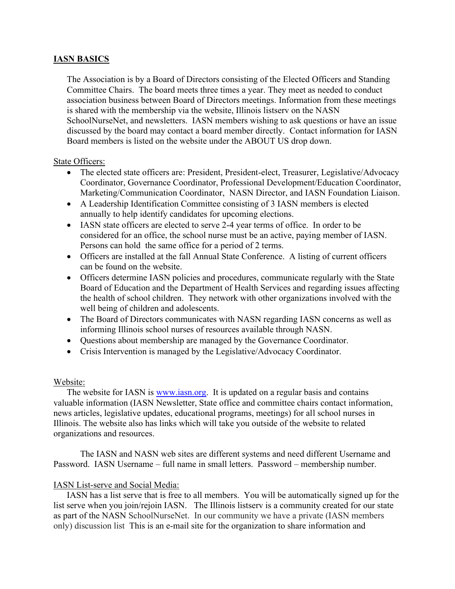### **IASN BASICS**

The Association is by a Board of Directors consisting of the Elected Officers and Standing Committee Chairs. The board meets three times a year. They meet as needed to conduct association business between Board of Directors meetings. Information from these meetings is shared with the membership via the website, Illinois listserv on the NASN SchoolNurseNet, and newsletters. IASN members wishing to ask questions or have an issue discussed by the board may contact a board member directly. Contact information for IASN Board members is listed on the website under the ABOUT US drop down.

#### State Officers:

- The elected state officers are: President, President-elect, Treasurer, Legislative/Advocacy Coordinator, Governance Coordinator, Professional Development/Education Coordinator, Marketing/Communication Coordinator, NASN Director, and IASN Foundation Liaison.
- A Leadership Identification Committee consisting of 3 IASN members is elected annually to help identify candidates for upcoming elections.
- IASN state officers are elected to serve 2-4 year terms of office. In order to be considered for an office, the school nurse must be an active, paying member of IASN. Persons can hold the same office for a period of 2 terms.
- Officers are installed at the fall Annual State Conference. A listing of current officers can be found on the website.
- Officers determine IASN policies and procedures, communicate regularly with the State Board of Education and the Department of Health Services and regarding issues affecting the health of school children. They network with other organizations involved with the well being of children and adolescents.
- The Board of Directors communicates with NASN regarding IASN concerns as well as informing Illinois school nurses of resources available through NASN.
- Questions about membership are managed by the Governance Coordinator.
- Crisis Intervention is managed by the Legislative/Advocacy Coordinator.

#### Website:

The website for IASN is www.iasn.org. It is updated on a regular basis and contains valuable information (IASN Newsletter, State office and committee chairs contact information, news articles, legislative updates, educational programs, meetings) for all school nurses in Illinois. The website also has links which will take you outside of the website to related organizations and resources.

The IASN and NASN web sites are different systems and need different Username and Password. IASN Username – full name in small letters. Password – membership number.

#### IASN List-serve and Social Media:

 IASN has a list serve that is free to all members. You will be automatically signed up for the list serve when you join/rejoin IASN. The Illinois listserv is a community created for our state as part of the NASN SchoolNurseNet. In our community we have a private (IASN members only) discussion list This is an e-mail site for the organization to share information and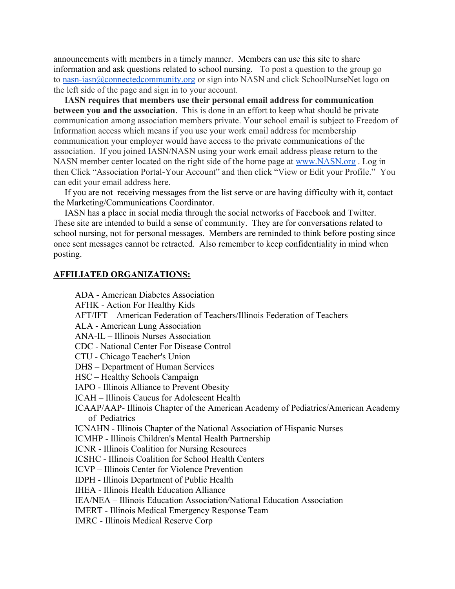announcements with members in a timely manner. Members can use this site to share information and ask questions related to school nursing. To post a question to the group go to nasn-iasn@connectedcommunity.org or sign into NASN and click SchoolNurseNet logo on the left side of the page and sign in to your account.

 **IASN requires that members use their personal email address for communication between you and the association**. This is done in an effort to keep what should be private communication among association members private. Your school email is subject to Freedom of Information access which means if you use your work email address for membership communication your employer would have access to the private communications of the association. If you joined IASN/NASN using your work email address please return to the NASN member center located on the right side of the home page at www.NASN.org . Log in then Click "Association Portal-Your Account" and then click "View or Edit your Profile." You can edit your email address here.

 If you are not receiving messages from the list serve or are having difficulty with it, contact the Marketing/Communications Coordinator.

 IASN has a place in social media through the social networks of Facebook and Twitter. These site are intended to build a sense of community. They are for conversations related to school nursing, not for personal messages. Members are reminded to think before posting since once sent messages cannot be retracted. Also remember to keep confidentiality in mind when posting.

#### **AFFILIATED ORGANIZATIONS:**

ADA - American Diabetes Association

- AFHK Action For Healthy Kids
- AFT/IFT American Federation of Teachers/Illinois Federation of Teachers
- ALA American Lung Association
- ANA-IL Illinois Nurses Association
- CDC National Center For Disease Control
- CTU Chicago Teacher's Union
- DHS Department of Human Services
- HSC Healthy Schools Campaign
- IAPO Illinois Alliance to Prevent Obesity
- ICAH Illinois Caucus for Adolescent Health
- ICAAP/AAP- Illinois Chapter of the American Academy of Pediatrics/American Academy of Pediatrics
- ICNAHN Illinois Chapter of the National Association of Hispanic Nurses
- ICMHP Illinois Children's Mental Health Partnership
- ICNR Illinois Coalition for Nursing Resources
- ICSHC Illinois Coalition for School Health Centers
- ICVP Illinois Center for Violence Prevention
- IDPH Illinois Department of Public Health
- IHEA Illinois Health Education Alliance
- IEA/NEA Illinois Education Association/National Education Association
- IMERT Illinois Medical Emergency Response Team
- IMRC Illinois Medical Reserve Corp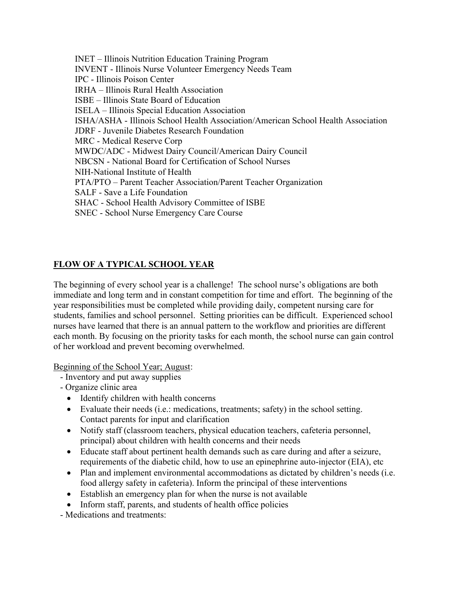INET – Illinois Nutrition Education Training Program INVENT - Illinois Nurse Volunteer Emergency Needs Team IPC - Illinois Poison Center IRHA – Illinois Rural Health Association ISBE – Illinois State Board of Education ISELA – Illinois Special Education Association ISHA/ASHA - Illinois School Health Association/American School Health Association JDRF - Juvenile Diabetes Research Foundation MRC - Medical Reserve Corp MWDC/ADC - Midwest Dairy Council/American Dairy Council NBCSN - National Board for Certification of School Nurses NIH-National Institute of Health PTA/PTO – Parent Teacher Association/Parent Teacher Organization SALF - Save a Life Foundation SHAC - School Health Advisory Committee of ISBE SNEC - School Nurse Emergency Care Course

## **FLOW OF A TYPICAL SCHOOL YEAR**

The beginning of every school year is a challenge! The school nurse's obligations are both immediate and long term and in constant competition for time and effort. The beginning of the year responsibilities must be completed while providing daily, competent nursing care for students, families and school personnel. Setting priorities can be difficult. Experienced school nurses have learned that there is an annual pattern to the workflow and priorities are different each month. By focusing on the priority tasks for each month, the school nurse can gain control of her workload and prevent becoming overwhelmed.

Beginning of the School Year; August:

- Inventory and put away supplies
- Organize clinic area
	- Identify children with health concerns
	- Evaluate their needs (i.e.: medications, treatments; safety) in the school setting. Contact parents for input and clarification
	- Notify staff (classroom teachers, physical education teachers, cafeteria personnel, principal) about children with health concerns and their needs
	- Educate staff about pertinent health demands such as care during and after a seizure, requirements of the diabetic child, how to use an epinephrine auto-injector (EIA), etc
	- Plan and implement environmental accommodations as dictated by children's needs (i.e. food allergy safety in cafeteria). Inform the principal of these interventions
	- Establish an emergency plan for when the nurse is not available
	- Inform staff, parents, and students of health office policies

- Medications and treatments: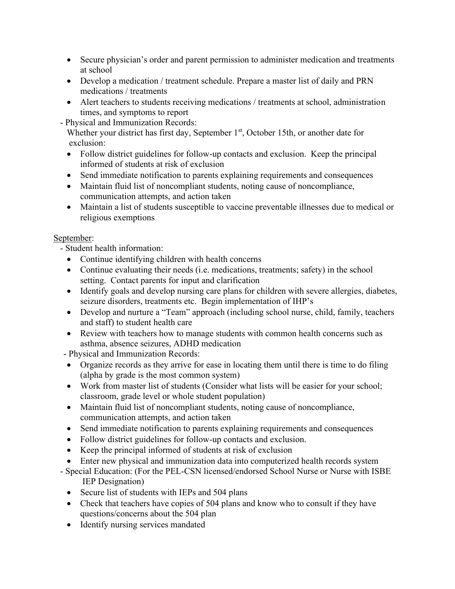- Secure physician's order and parent permission to administer medication and treatments at school
- Develop a medication / treatment schedule. Prepare a master list of daily and PRN medications / treatments
- Alert teachers to students receiving medications / treatments at school, administration times, and symptoms to report
- Physical and Immunization Records:

Whether your district has first day, September  $1<sup>st</sup>$ , October 15th, or another date for exclusion:

- Follow district guidelines for follow-up contacts and exclusion. Keep the principal informed of students at risk of exclusion
- Send immediate notification to parents explaining requirements and consequences
- Maintain fluid list of noncompliant students, noting cause of noncompliance, communication attempts, and action taken
- Maintain a list of students susceptible to vaccine preventable illnesses due to medical or religious exemptions

## September:

- Student health information:

- Continue identifying children with health concerns
- Continue evaluating their needs (i.e. medications, treatments; safety) in the school setting. Contact parents for input and clarification
- Identify goals and develop nursing care plans for children with severe allergies, diabetes, seizure disorders, treatments etc. Begin implementation of IHP's
- Develop and nurture a "Team" approach (including school nurse, child, family, teachers and staff) to student health care
- Review with teachers how to manage students with common health concerns such as asthma, absence seizures, ADHD medication
- Physical and Immunization Records:
- Organize records as they arrive for ease in locating them until there is time to do filing (alpha by grade is the most common system)
- Work from master list of students (Consider what lists will be easier for your school; classroom, grade level or whole student population)
- Maintain fluid list of noncompliant students, noting cause of noncompliance, communication attempts, and action taken
- Send immediate notification to parents explaining requirements and consequences
- Follow district guidelines for follow-up contacts and exclusion.
- Keep the principal informed of students at risk of exclusion
- Enter new physical and immunization data into computerized health records system
- Special Education: (For the PEL-CSN licensed/endorsed School Nurse or Nurse with ISBE IEP Designation)
	- Secure list of students with IEPs and 504 plans
	- Check that teachers have copies of 504 plans and know who to consult if they have questions/concerns about the 504 plan
	- Identify nursing services mandated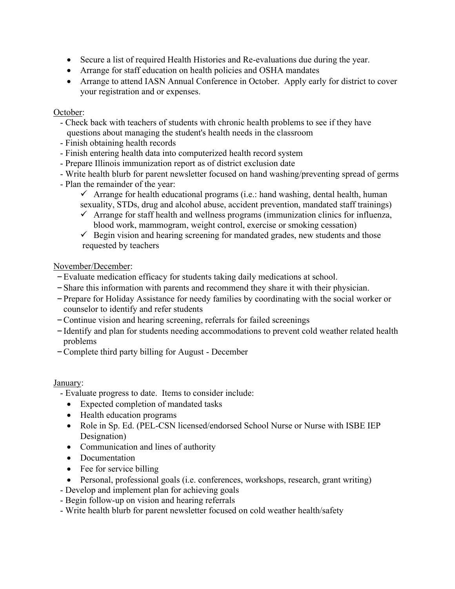- Secure a list of required Health Histories and Re-evaluations due during the year.
- Arrange for staff education on health policies and OSHA mandates
- Arrange to attend IASN Annual Conference in October. Apply early for district to cover your registration and or expenses.

### October:

- Check back with teachers of students with chronic health problems to see if they have questions about managing the student's health needs in the classroom
- Finish obtaining health records
- Finish entering health data into computerized health record system
- Prepare Illinois immunization report as of district exclusion date
- Write health blurb for parent newsletter focused on hand washing/preventing spread of germs
- Plan the remainder of the year:
	- $\checkmark$  Arrange for health educational programs (i.e.: hand washing, dental health, human sexuality, STDs, drug and alcohol abuse, accident prevention, mandated staff trainings)
	- $\checkmark$  Arrange for staff health and wellness programs (immunization clinics for influenza, blood work, mammogram, weight control, exercise or smoking cessation)
	- $\checkmark$  Begin vision and hearing screening for mandated grades, new students and those requested by teachers

## November/December:

- –Evaluate medication efficacy for students taking daily medications at school.
- –Share this information with parents and recommend they share it with their physician.
- –Prepare for Holiday Assistance for needy families by coordinating with the social worker or counselor to identify and refer students
- –Continue vision and hearing screening, referrals for failed screenings
- –Identify and plan for students needing accommodations to prevent cold weather related health problems
- –Complete third party billing for August December

## January:

- Evaluate progress to date. Items to consider include:
	- Expected completion of mandated tasks
	- Health education programs
	- Role in Sp. Ed. (PEL-CSN licensed/endorsed School Nurse or Nurse with ISBE IEP Designation)
	- Communication and lines of authority
	- Documentation
	- Fee for service billing
	- Personal, professional goals (i.e. conferences, workshops, research, grant writing)
- Develop and implement plan for achieving goals
- Begin follow-up on vision and hearing referrals
- Write health blurb for parent newsletter focused on cold weather health/safety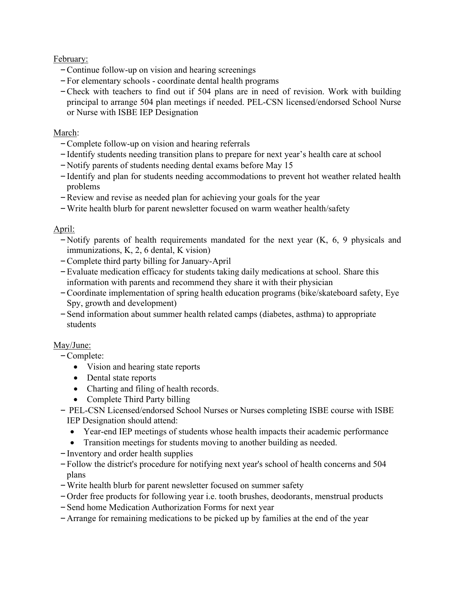February:

- –Continue follow-up on vision and hearing screenings
- –For elementary schools coordinate dental health programs
- –Check with teachers to find out if 504 plans are in need of revision. Work with building principal to arrange 504 plan meetings if needed. PEL-CSN licensed/endorsed School Nurse or Nurse with ISBE IEP Designation

## March:

- –Complete follow-up on vision and hearing referrals
- –Identify students needing transition plans to prepare for next year's health care at school
- –Notify parents of students needing dental exams before May 15
- –Identify and plan for students needing accommodations to prevent hot weather related health problems
- –Review and revise as needed plan for achieving your goals for the year
- –Write health blurb for parent newsletter focused on warm weather health/safety

## April:

- Notify parents of health requirements mandated for the next year  $(K, 6, 9)$  physicals and immunizations, K, 2, 6 dental, K vision)
- –Complete third party billing for January-April
- –Evaluate medication efficacy for students taking daily medications at school. Share this information with parents and recommend they share it with their physician
- –Coordinate implementation of spring health education programs (bike/skateboard safety, Eye Spy, growth and development)
- –Send information about summer health related camps (diabetes, asthma) to appropriate students

# May/June:

–Complete:

- Vision and hearing state reports
- Dental state reports
- Charting and filing of health records.
- Complete Third Party billing
- PEL-CSN Licensed/endorsed School Nurses or Nurses completing ISBE course with ISBE IEP Designation should attend:
	- Year-end IEP meetings of students whose health impacts their academic performance
	- Transition meetings for students moving to another building as needed.
- –Inventory and order health supplies
- –Follow the district's procedure for notifying next year's school of health concerns and 504 plans
- –Write health blurb for parent newsletter focused on summer safety
- –Order free products for following year i.e. tooth brushes, deodorants, menstrual products
- –Send home Medication Authorization Forms for next year
- –Arrange for remaining medications to be picked up by families at the end of the year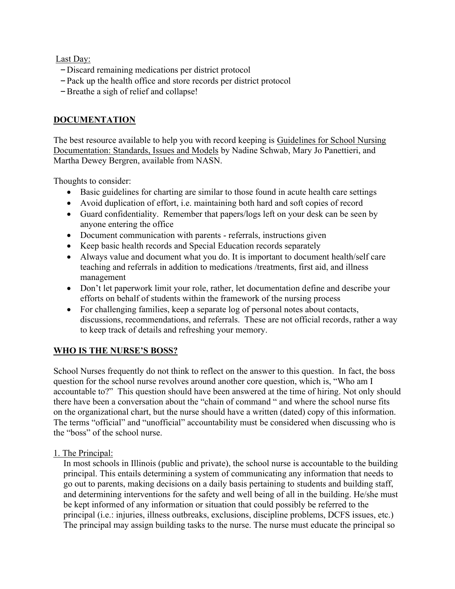Last Day:

- –Discard remaining medications per district protocol
- –Pack up the health office and store records per district protocol
- –Breathe a sigh of relief and collapse!

## **DOCUMENTATION**

The best resource available to help you with record keeping is Guidelines for School Nursing Documentation: Standards, Issues and Models by Nadine Schwab, Mary Jo Panettieri, and Martha Dewey Bergren, available from NASN.

Thoughts to consider:

- Basic guidelines for charting are similar to those found in acute health care settings
- Avoid duplication of effort, i.e. maintaining both hard and soft copies of record
- Guard confidentiality. Remember that papers/logs left on your desk can be seen by anyone entering the office
- Document communication with parents referrals, instructions given
- Keep basic health records and Special Education records separately
- Always value and document what you do. It is important to document health/self care teaching and referrals in addition to medications /treatments, first aid, and illness management
- Don't let paperwork limit your role, rather, let documentation define and describe your efforts on behalf of students within the framework of the nursing process
- For challenging families, keep a separate log of personal notes about contacts, discussions, recommendations, and referrals. These are not official records, rather a way to keep track of details and refreshing your memory.

# **WHO IS THE NURSE'S BOSS?**

School Nurses frequently do not think to reflect on the answer to this question. In fact, the boss question for the school nurse revolves around another core question, which is, "Who am I accountable to?" This question should have been answered at the time of hiring. Not only should there have been a conversation about the "chain of command " and where the school nurse fits on the organizational chart, but the nurse should have a written (dated) copy of this information. The terms "official" and "unofficial" accountability must be considered when discussing who is the "boss" of the school nurse.

1. The Principal:

In most schools in Illinois (public and private), the school nurse is accountable to the building principal. This entails determining a system of communicating any information that needs to go out to parents, making decisions on a daily basis pertaining to students and building staff, and determining interventions for the safety and well being of all in the building. He/she must be kept informed of any information or situation that could possibly be referred to the principal (i.e.: injuries, illness outbreaks, exclusions, discipline problems, DCFS issues, etc.) The principal may assign building tasks to the nurse. The nurse must educate the principal so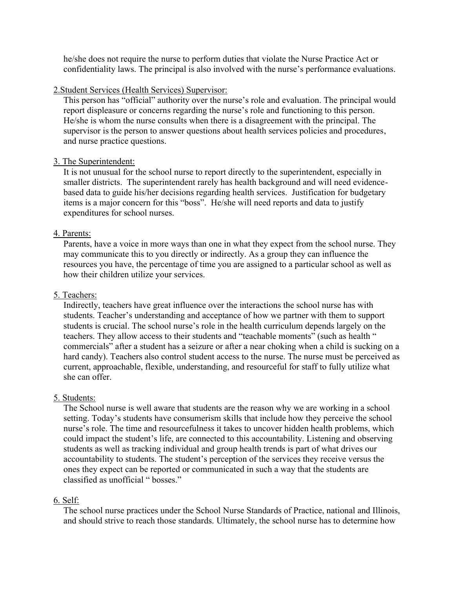he/she does not require the nurse to perform duties that violate the Nurse Practice Act or confidentiality laws. The principal is also involved with the nurse's performance evaluations.

### 2.Student Services (Health Services) Supervisor:

This person has "official" authority over the nurse's role and evaluation. The principal would report displeasure or concerns regarding the nurse's role and functioning to this person. He/she is whom the nurse consults when there is a disagreement with the principal. The supervisor is the person to answer questions about health services policies and procedures, and nurse practice questions.

### 3. The Superintendent:

It is not unusual for the school nurse to report directly to the superintendent, especially in smaller districts. The superintendent rarely has health background and will need evidencebased data to guide his/her decisions regarding health services. Justification for budgetary items is a major concern for this "boss". He/she will need reports and data to justify expenditures for school nurses.

### 4. Parents:

Parents, have a voice in more ways than one in what they expect from the school nurse. They may communicate this to you directly or indirectly. As a group they can influence the resources you have, the percentage of time you are assigned to a particular school as well as how their children utilize your services.

### 5. Teachers:

Indirectly, teachers have great influence over the interactions the school nurse has with students. Teacher's understanding and acceptance of how we partner with them to support students is crucial. The school nurse's role in the health curriculum depends largely on the teachers. They allow access to their students and "teachable moments" (such as health " commercials" after a student has a seizure or after a near choking when a child is sucking on a hard candy). Teachers also control student access to the nurse. The nurse must be perceived as current, approachable, flexible, understanding, and resourceful for staff to fully utilize what she can offer.

## 5. Students:

The School nurse is well aware that students are the reason why we are working in a school setting. Today's students have consumerism skills that include how they perceive the school nurse's role. The time and resourcefulness it takes to uncover hidden health problems, which could impact the student's life, are connected to this accountability. Listening and observing students as well as tracking individual and group health trends is part of what drives our accountability to students. The student's perception of the services they receive versus the ones they expect can be reported or communicated in such a way that the students are classified as unofficial " bosses."

#### 6. Self:

The school nurse practices under the School Nurse Standards of Practice, national and Illinois, and should strive to reach those standards. Ultimately, the school nurse has to determine how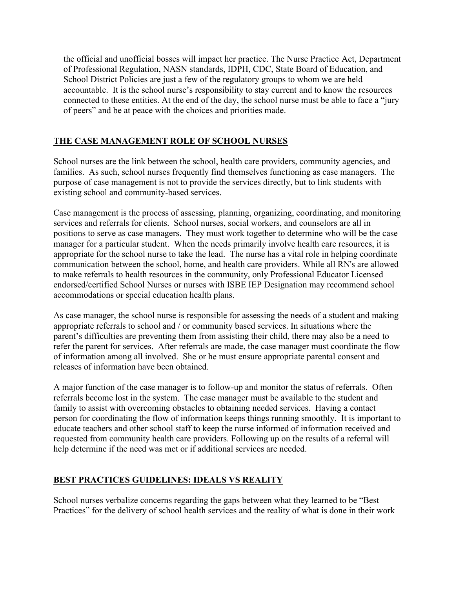the official and unofficial bosses will impact her practice. The Nurse Practice Act, Department of Professional Regulation, NASN standards, IDPH, CDC, State Board of Education, and School District Policies are just a few of the regulatory groups to whom we are held accountable. It is the school nurse's responsibility to stay current and to know the resources connected to these entities. At the end of the day, the school nurse must be able to face a "jury of peers" and be at peace with the choices and priorities made.

# **THE CASE MANAGEMENT ROLE OF SCHOOL NURSES**

School nurses are the link between the school, health care providers, community agencies, and families. As such, school nurses frequently find themselves functioning as case managers. The purpose of case management is not to provide the services directly, but to link students with existing school and community-based services.

Case management is the process of assessing, planning, organizing, coordinating, and monitoring services and referrals for clients. School nurses, social workers, and counselors are all in positions to serve as case managers. They must work together to determine who will be the case manager for a particular student. When the needs primarily involve health care resources, it is appropriate for the school nurse to take the lead. The nurse has a vital role in helping coordinate communication between the school, home, and health care providers. While all RN's are allowed to make referrals to health resources in the community, only Professional Educator Licensed endorsed/certified School Nurses or nurses with ISBE IEP Designation may recommend school accommodations or special education health plans.

As case manager, the school nurse is responsible for assessing the needs of a student and making appropriate referrals to school and / or community based services. In situations where the parent's difficulties are preventing them from assisting their child, there may also be a need to refer the parent for services. After referrals are made, the case manager must coordinate the flow of information among all involved. She or he must ensure appropriate parental consent and releases of information have been obtained.

A major function of the case manager is to follow-up and monitor the status of referrals. Often referrals become lost in the system. The case manager must be available to the student and family to assist with overcoming obstacles to obtaining needed services. Having a contact person for coordinating the flow of information keeps things running smoothly. It is important to educate teachers and other school staff to keep the nurse informed of information received and requested from community health care providers. Following up on the results of a referral will help determine if the need was met or if additional services are needed.

# **BEST PRACTICES GUIDELINES: IDEALS VS REALITY**

School nurses verbalize concerns regarding the gaps between what they learned to be "Best Practices" for the delivery of school health services and the reality of what is done in their work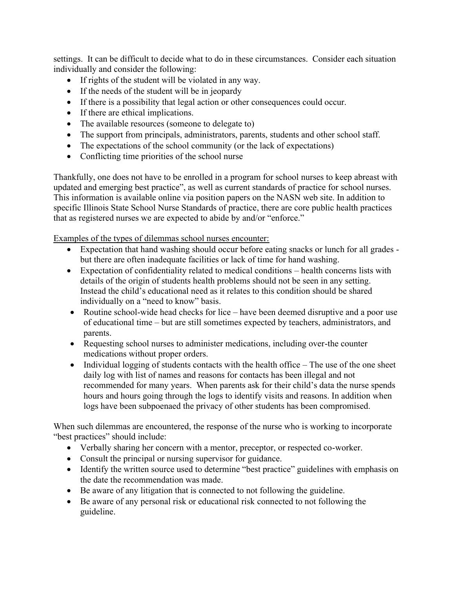settings. It can be difficult to decide what to do in these circumstances. Consider each situation individually and consider the following:

- If rights of the student will be violated in any way.
- If the needs of the student will be in jeopardy
- If there is a possibility that legal action or other consequences could occur.
- If there are ethical implications.
- The available resources (someone to delegate to)
- The support from principals, administrators, parents, students and other school staff.
- The expectations of the school community (or the lack of expectations)
- Conflicting time priorities of the school nurse

Thankfully, one does not have to be enrolled in a program for school nurses to keep abreast with updated and emerging best practice", as well as current standards of practice for school nurses. This information is available online via position papers on the NASN web site. In addition to specific Illinois State School Nurse Standards of practice, there are core public health practices that as registered nurses we are expected to abide by and/or "enforce."

Examples of the types of dilemmas school nurses encounter:

- Expectation that hand washing should occur before eating snacks or lunch for all grades but there are often inadequate facilities or lack of time for hand washing.
- Expectation of confidentiality related to medical conditions health concerns lists with details of the origin of students health problems should not be seen in any setting. Instead the child's educational need as it relates to this condition should be shared individually on a "need to know" basis.
- Routine school-wide head checks for lice have been deemed disruptive and a poor use of educational time – but are still sometimes expected by teachers, administrators, and parents.
- Requesting school nurses to administer medications, including over-the counter medications without proper orders.
- $\bullet$  Individual logging of students contacts with the health office The use of the one sheet daily log with list of names and reasons for contacts has been illegal and not recommended for many years. When parents ask for their child's data the nurse spends hours and hours going through the logs to identify visits and reasons. In addition when logs have been subpoenaed the privacy of other students has been compromised.

When such dilemmas are encountered, the response of the nurse who is working to incorporate "best practices" should include:

- Verbally sharing her concern with a mentor, preceptor, or respected co-worker.
- Consult the principal or nursing supervisor for guidance.
- Identify the written source used to determine "best practice" guidelines with emphasis on the date the recommendation was made.
- Be aware of any litigation that is connected to not following the guideline.
- Be aware of any personal risk or educational risk connected to not following the guideline.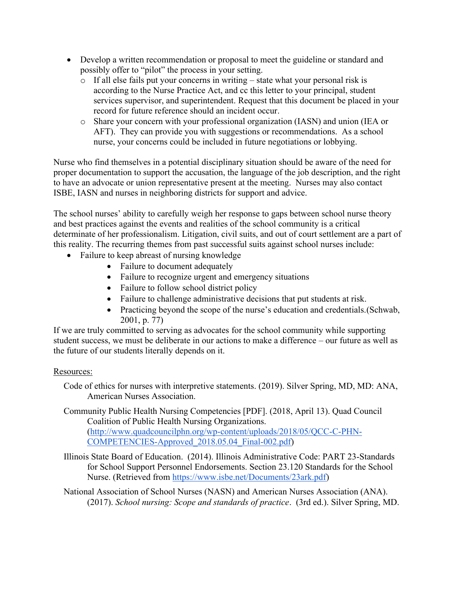- Develop a written recommendation or proposal to meet the guideline or standard and possibly offer to "pilot" the process in your setting.
	- o If all else fails put your concerns in writing state what your personal risk is according to the Nurse Practice Act, and cc this letter to your principal, student services supervisor, and superintendent. Request that this document be placed in your record for future reference should an incident occur.
	- o Share your concern with your professional organization (IASN) and union (IEA or AFT). They can provide you with suggestions or recommendations. As a school nurse, your concerns could be included in future negotiations or lobbying.

Nurse who find themselves in a potential disciplinary situation should be aware of the need for proper documentation to support the accusation, the language of the job description, and the right to have an advocate or union representative present at the meeting. Nurses may also contact ISBE, IASN and nurses in neighboring districts for support and advice.

The school nurses' ability to carefully weigh her response to gaps between school nurse theory and best practices against the events and realities of the school community is a critical determinate of her professionalism. Litigation, civil suits, and out of court settlement are a part of this reality. The recurring themes from past successful suits against school nurses include:

- Failure to keep abreast of nursing knowledge
	- Failure to document adequately
	- Failure to recognize urgent and emergency situations
	- Failure to follow school district policy
	- Failure to challenge administrative decisions that put students at risk.
	- Practicing beyond the scope of the nurse's education and credentials. (Schwab, 2001, p. 77)

If we are truly committed to serving as advocates for the school community while supporting student success, we must be deliberate in our actions to make a difference – our future as well as the future of our students literally depends on it.

## Resources:

Code of ethics for nurses with interpretive statements. (2019). Silver Spring, MD, MD: ANA, American Nurses Association.

Community Public Health Nursing Competencies [PDF]. (2018, April 13). Quad Council Coalition of Public Health Nursing Organizations. (http://www.quadcouncilphn.org/wp-content/uploads/2018/05/QCC-C-PHN-COMPETENCIES-Approved\_2018.05.04\_Final-002.pdf)

- Illinois State Board of Education. (2014). Illinois Administrative Code: PART 23-Standards for School Support Personnel Endorsements. Section 23.120 Standards for the School Nurse. (Retrieved from https://www.isbe.net/Documents/23ark.pdf)
- National Association of School Nurses (NASN) and American Nurses Association (ANA). (2017). *School nursing: Scope and standards of practice*. (3rd ed.). Silver Spring, MD.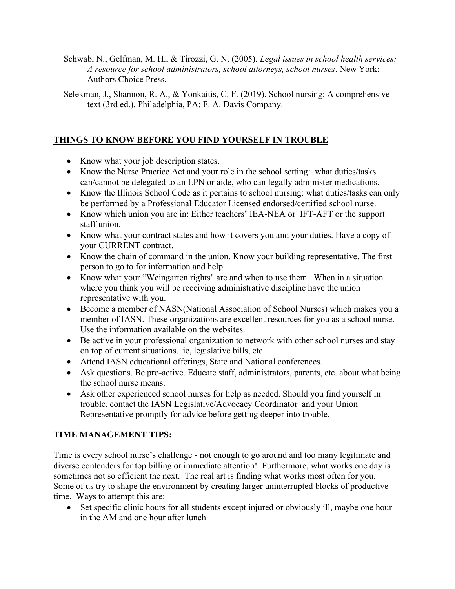- Schwab, N., Gelfman, M. H., & Tirozzi, G. N. (2005). *Legal issues in school health services: A resource for school administrators, school attorneys, school nurses*. New York: Authors Choice Press.
- Selekman, J., Shannon, R. A., & Yonkaitis, C. F. (2019). School nursing: A comprehensive text (3rd ed.). Philadelphia, PA: F. A. Davis Company.

# **THINGS TO KNOW BEFORE YOU FIND YOURSELF IN TROUBLE**

- Know what your job description states.
- Know the Nurse Practice Act and your role in the school setting: what duties/tasks can/cannot be delegated to an LPN or aide, who can legally administer medications.
- Know the Illinois School Code as it pertains to school nursing: what duties/tasks can only be performed by a Professional Educator Licensed endorsed/certified school nurse.
- Know which union you are in: Either teachers' IEA-NEA or IFT-AFT or the support staff union.
- Know what your contract states and how it covers you and your duties. Have a copy of your CURRENT contract.
- Know the chain of command in the union. Know your building representative. The first person to go to for information and help.
- Know what your "Weingarten rights" are and when to use them. When in a situation where you think you will be receiving administrative discipline have the union representative with you.
- Become a member of NASN(National Association of School Nurses) which makes you a member of IASN. These organizations are excellent resources for you as a school nurse. Use the information available on the websites.
- Be active in your professional organization to network with other school nurses and stay on top of current situations. ie, legislative bills, etc.
- Attend IASN educational offerings, State and National conferences.
- Ask questions. Be pro-active. Educate staff, administrators, parents, etc. about what being the school nurse means.
- Ask other experienced school nurses for help as needed. Should you find yourself in trouble, contact the IASN Legislative/Advocacy Coordinator and your Union Representative promptly for advice before getting deeper into trouble.

# **TIME MANAGEMENT TIPS:**

Time is every school nurse's challenge - not enough to go around and too many legitimate and diverse contenders for top billing or immediate attention! Furthermore, what works one day is sometimes not so efficient the next. The real art is finding what works most often for you. Some of us try to shape the environment by creating larger uninterrupted blocks of productive time. Ways to attempt this are:

 Set specific clinic hours for all students except injured or obviously ill, maybe one hour in the AM and one hour after lunch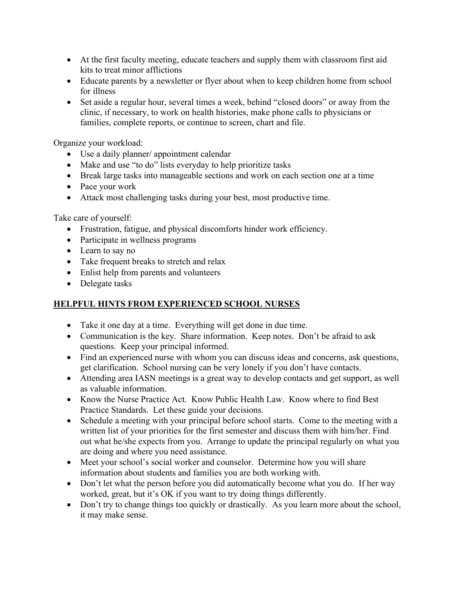- At the first faculty meeting, educate teachers and supply them with classroom first aid kits to treat minor afflictions
- Educate parents by a newsletter or flyer about when to keep children home from school for illness
- Set aside a regular hour, several times a week, behind "closed doors" or away from the clinic, if necessary, to work on health histories, make phone calls to physicians or families, complete reports, or continue to screen, chart and file.

Organize your workload:

- Use a daily planner/ appointment calendar
- Make and use "to do" lists everyday to help prioritize tasks
- Break large tasks into manageable sections and work on each section one at a time
- Pace your work
- Attack most challenging tasks during your best, most productive time.

Take care of yourself:

- Frustration, fatigue, and physical discomforts hinder work efficiency.
- Participate in wellness programs
- Learn to say no
- Take frequent breaks to stretch and relax
- Enlist help from parents and volunteers
- Delegate tasks

# **HELPFUL HINTS FROM EXPERIENCED SCHOOL NURSES**

- Take it one day at a time. Everything will get done in due time.
- Communication is the key. Share information. Keep notes. Don't be afraid to ask questions. Keep your principal informed.
- Find an experienced nurse with whom you can discuss ideas and concerns, ask questions, get clarification. School nursing can be very lonely if you don't have contacts.
- Attending area IASN meetings is a great way to develop contacts and get support, as well as valuable information.
- Know the Nurse Practice Act. Know Public Health Law. Know where to find Best Practice Standards. Let these guide your decisions.
- Schedule a meeting with your principal before school starts. Come to the meeting with a written list of your priorities for the first semester and discuss them with him/her. Find out what he/she expects from you. Arrange to update the principal regularly on what you are doing and where you need assistance.
- Meet your school's social worker and counselor. Determine how you will share information about students and families you are both working with.
- Don't let what the person before you did automatically become what you do. If her way worked, great, but it's OK if you want to try doing things differently.
- Don't try to change things too quickly or drastically. As you learn more about the school, it may make sense.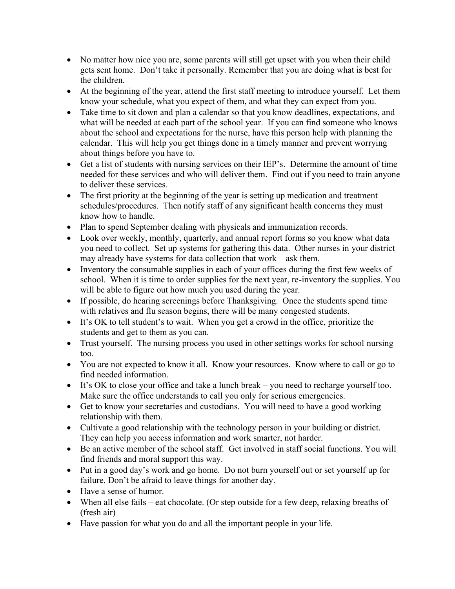- No matter how nice you are, some parents will still get upset with you when their child gets sent home. Don't take it personally. Remember that you are doing what is best for the children.
- At the beginning of the year, attend the first staff meeting to introduce yourself. Let them know your schedule, what you expect of them, and what they can expect from you.
- Take time to sit down and plan a calendar so that you know deadlines, expectations, and what will be needed at each part of the school year. If you can find someone who knows about the school and expectations for the nurse, have this person help with planning the calendar. This will help you get things done in a timely manner and prevent worrying about things before you have to.
- Get a list of students with nursing services on their IEP's. Determine the amount of time needed for these services and who will deliver them. Find out if you need to train anyone to deliver these services.
- The first priority at the beginning of the year is setting up medication and treatment schedules/procedures. Then notify staff of any significant health concerns they must know how to handle.
- Plan to spend September dealing with physicals and immunization records.
- Look over weekly, monthly, quarterly, and annual report forms so you know what data you need to collect. Set up systems for gathering this data. Other nurses in your district may already have systems for data collection that work – ask them.
- Inventory the consumable supplies in each of your offices during the first few weeks of school. When it is time to order supplies for the next year, re-inventory the supplies. You will be able to figure out how much you used during the year.
- If possible, do hearing screenings before Thanksgiving. Once the students spend time with relatives and flu season begins, there will be many congested students.
- It's OK to tell student's to wait. When you get a crowd in the office, prioritize the students and get to them as you can.
- Trust yourself. The nursing process you used in other settings works for school nursing too.
- You are not expected to know it all. Know your resources. Know where to call or go to find needed information.
- It's OK to close your office and take a lunch break you need to recharge yourself too. Make sure the office understands to call you only for serious emergencies.
- Get to know your secretaries and custodians. You will need to have a good working relationship with them.
- Cultivate a good relationship with the technology person in your building or district. They can help you access information and work smarter, not harder.
- Be an active member of the school staff. Get involved in staff social functions. You will find friends and moral support this way.
- Put in a good day's work and go home. Do not burn yourself out or set yourself up for failure. Don't be afraid to leave things for another day.
- Have a sense of humor.
- When all else fails eat chocolate. (Or step outside for a few deep, relaxing breaths of (fresh air)
- Have passion for what you do and all the important people in your life.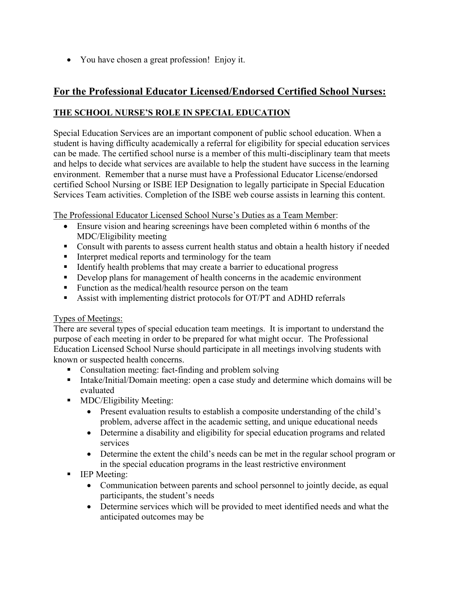You have chosen a great profession! Enjoy it.

# **For the Professional Educator Licensed/Endorsed Certified School Nurses:**

# **THE SCHOOL NURSE'S ROLE IN SPECIAL EDUCATION**

Special Education Services are an important component of public school education. When a student is having difficulty academically a referral for eligibility for special education services can be made. The certified school nurse is a member of this multi-disciplinary team that meets and helps to decide what services are available to help the student have success in the learning environment. Remember that a nurse must have a Professional Educator License/endorsed certified School Nursing or ISBE IEP Designation to legally participate in Special Education Services Team activities. Completion of the ISBE web course assists in learning this content.

The Professional Educator Licensed School Nurse's Duties as a Team Member:

- Ensure vision and hearing screenings have been completed within 6 months of the MDC/Eligibility meeting
- Consult with parents to assess current health status and obtain a health history if needed
- Interpret medical reports and terminology for the team
- Identify health problems that may create a barrier to educational progress
- Develop plans for management of health concerns in the academic environment
- **Function as the medical/health resource person on the team**
- Assist with implementing district protocols for OT/PT and ADHD referrals

## Types of Meetings:

There are several types of special education team meetings. It is important to understand the purpose of each meeting in order to be prepared for what might occur. The Professional Education Licensed School Nurse should participate in all meetings involving students with known or suspected health concerns.

- Consultation meeting: fact-finding and problem solving
- **Intake/Initial/Domain meeting: open a case study and determine which domains will be** evaluated
- **MDC/Eligibility Meeting:** 
	- Present evaluation results to establish a composite understanding of the child's problem, adverse affect in the academic setting, and unique educational needs
	- Determine a disability and eligibility for special education programs and related services
	- Determine the extent the child's needs can be met in the regular school program or in the special education programs in the least restrictive environment
- IEP Meeting:
	- Communication between parents and school personnel to jointly decide, as equal participants, the student's needs
	- Determine services which will be provided to meet identified needs and what the anticipated outcomes may be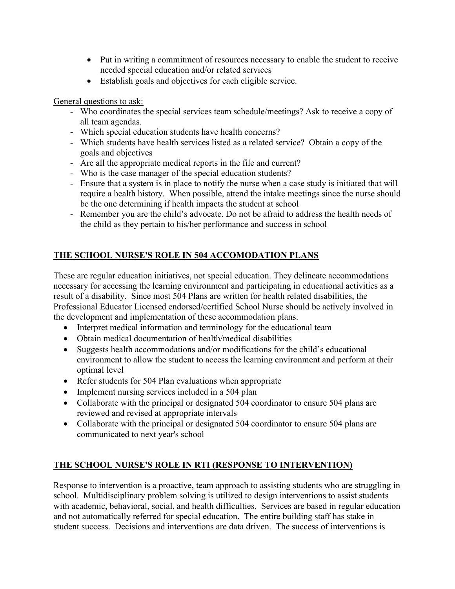- Put in writing a commitment of resources necessary to enable the student to receive needed special education and/or related services
- Establish goals and objectives for each eligible service.

General questions to ask:

- Who coordinates the special services team schedule/meetings? Ask to receive a copy of all team agendas.
- Which special education students have health concerns?
- Which students have health services listed as a related service? Obtain a copy of the goals and objectives
- Are all the appropriate medical reports in the file and current?
- Who is the case manager of the special education students?
- Ensure that a system is in place to notify the nurse when a case study is initiated that will require a health history. When possible, attend the intake meetings since the nurse should be the one determining if health impacts the student at school
- Remember you are the child's advocate. Do not be afraid to address the health needs of the child as they pertain to his/her performance and success in school

# **THE SCHOOL NURSE'S ROLE IN 504 ACCOMODATION PLANS**

These are regular education initiatives, not special education. They delineate accommodations necessary for accessing the learning environment and participating in educational activities as a result of a disability. Since most 504 Plans are written for health related disabilities, the Professional Educator Licensed endorsed/certified School Nurse should be actively involved in the development and implementation of these accommodation plans.

- Interpret medical information and terminology for the educational team
- Obtain medical documentation of health/medical disabilities
- Suggests health accommodations and/or modifications for the child's educational environment to allow the student to access the learning environment and perform at their optimal level
- Refer students for 504 Plan evaluations when appropriate
- Implement nursing services included in a 504 plan
- Collaborate with the principal or designated 504 coordinator to ensure 504 plans are reviewed and revised at appropriate intervals
- Collaborate with the principal or designated 504 coordinator to ensure 504 plans are communicated to next year's school

## **THE SCHOOL NURSE'S ROLE IN RTI (RESPONSE TO INTERVENTION)**

Response to intervention is a proactive, team approach to assisting students who are struggling in school. Multidisciplinary problem solving is utilized to design interventions to assist students with academic, behavioral, social, and health difficulties. Services are based in regular education and not automatically referred for special education. The entire building staff has stake in student success. Decisions and interventions are data driven. The success of interventions is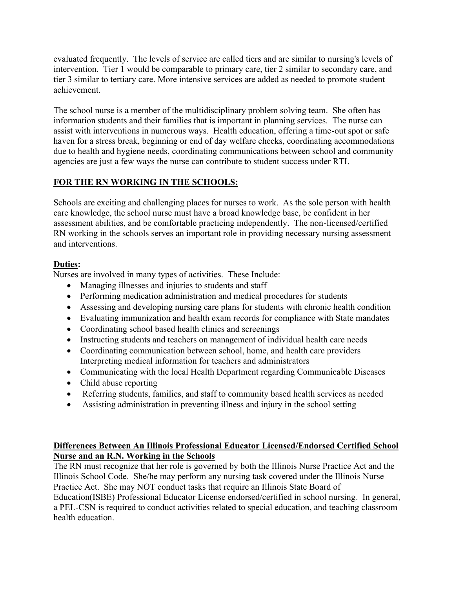evaluated frequently. The levels of service are called tiers and are similar to nursing's levels of intervention. Tier 1 would be comparable to primary care, tier 2 similar to secondary care, and tier 3 similar to tertiary care. More intensive services are added as needed to promote student achievement.

The school nurse is a member of the multidisciplinary problem solving team. She often has information students and their families that is important in planning services. The nurse can assist with interventions in numerous ways. Health education, offering a time-out spot or safe haven for a stress break, beginning or end of day welfare checks, coordinating accommodations due to health and hygiene needs, coordinating communications between school and community agencies are just a few ways the nurse can contribute to student success under RTI.

# **FOR THE RN WORKING IN THE SCHOOLS:**

Schools are exciting and challenging places for nurses to work. As the sole person with health care knowledge, the school nurse must have a broad knowledge base, be confident in her assessment abilities, and be comfortable practicing independently. The non-licensed/certified RN working in the schools serves an important role in providing necessary nursing assessment and interventions.

# **Duties:**

Nurses are involved in many types of activities. These Include:

- Managing illnesses and injuries to students and staff
- Performing medication administration and medical procedures for students
- Assessing and developing nursing care plans for students with chronic health condition
- Evaluating immunization and health exam records for compliance with State mandates
- Coordinating school based health clinics and screenings
- Instructing students and teachers on management of individual health care needs
- Coordinating communication between school, home, and health care providers Interpreting medical information for teachers and administrators
- Communicating with the local Health Department regarding Communicable Diseases
- Child abuse reporting
- Referring students, families, and staff to community based health services as needed
- Assisting administration in preventing illness and injury in the school setting

# **Differences Between An Illinois Professional Educator Licensed/Endorsed Certified School Nurse and an R.N. Working in the Schools**

The RN must recognize that her role is governed by both the Illinois Nurse Practice Act and the Illinois School Code. She/he may perform any nursing task covered under the Illinois Nurse Practice Act. She may NOT conduct tasks that require an Illinois State Board of Education(ISBE) Professional Educator License endorsed/certified in school nursing. In general, a PEL-CSN is required to conduct activities related to special education, and teaching classroom health education.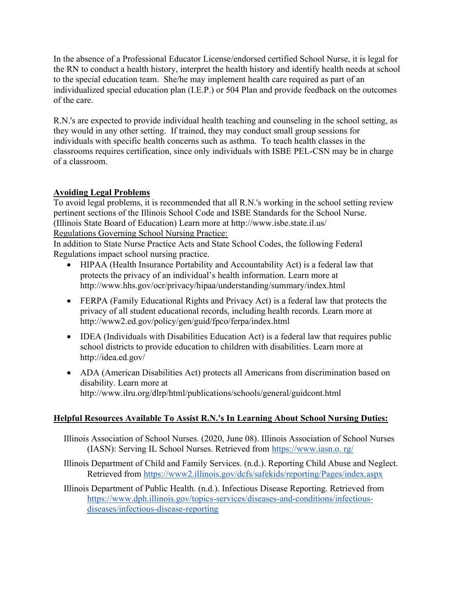In the absence of a Professional Educator License/endorsed certified School Nurse, it is legal for the RN to conduct a health history, interpret the health history and identify health needs at school to the special education team. She/he may implement health care required as part of an individualized special education plan (I.E.P.) or 504 Plan and provide feedback on the outcomes of the care.

R.N.'s are expected to provide individual health teaching and counseling in the school setting, as they would in any other setting. If trained, they may conduct small group sessions for individuals with specific health concerns such as asthma. To teach health classes in the classrooms requires certification, since only individuals with ISBE PEL-CSN may be in charge of a classroom.

# **Avoiding Legal Problems**

To avoid legal problems, it is recommended that all R.N.'s working in the school setting review pertinent sections of the Illinois School Code and ISBE Standards for the School Nurse. (Illinois State Board of Education) Learn more at http://www.isbe.state.il.us/ Regulations Governing School Nursing Practice:

In addition to State Nurse Practice Acts and State School Codes, the following Federal Regulations impact school nursing practice.

- HIPAA (Health Insurance Portability and Accountability Act) is a federal law that protects the privacy of an individual's health information. Learn more at http://www.hhs.gov/ocr/privacy/hipaa/understanding/summary/index.html
- FERPA (Family Educational Rights and Privacy Act) is a federal law that protects the privacy of all student educational records, including health records. Learn more at http://www2.ed.gov/policy/gen/guid/fpco/ferpa/index.html
- IDEA (Individuals with Disabilities Education Act) is a federal law that requires public school districts to provide education to children with disabilities. Learn more at http://idea.ed.gov/
- ADA (American Disabilities Act) protects all Americans from discrimination based on disability. Learn more at http://www.ilru.org/dlrp/html/publications/schools/general/guidcont.html

# **Helpful Resources Available To Assist R.N.'s In Learning About School Nursing Duties:**

- Illinois Association of School Nurses. (2020, June 08). Illinois Association of School Nurses (IASN): Serving IL School Nurses. Retrieved from https://www.iasn.o. rg/
- Illinois Department of Child and Family Services. (n.d.). Reporting Child Abuse and Neglect. Retrieved from https://www2.illinois.gov/dcfs/safekids/reporting/Pages/index.aspx
- Illinois Department of Public Health. (n.d.). Infectious Disease Reporting. Retrieved from https://www.dph.illinois.gov/topics-services/diseases-and-conditions/infectiousdiseases/infectious-disease-reporting